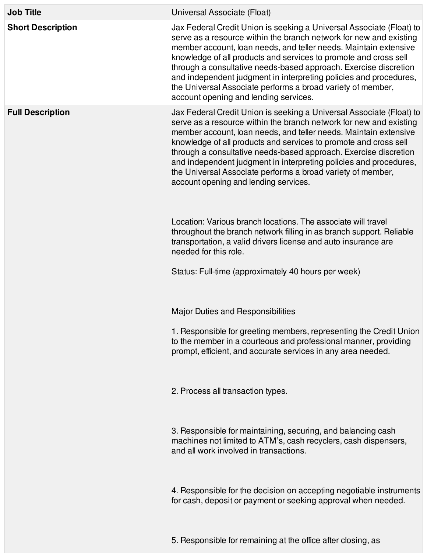| <b>Job Title</b>         | Universal Associate (Float)                                                                                                                                                                                                                                                                                                                                                                                                                                                                                                         |
|--------------------------|-------------------------------------------------------------------------------------------------------------------------------------------------------------------------------------------------------------------------------------------------------------------------------------------------------------------------------------------------------------------------------------------------------------------------------------------------------------------------------------------------------------------------------------|
| <b>Short Description</b> | Jax Federal Credit Union is seeking a Universal Associate (Float) to<br>serve as a resource within the branch network for new and existing<br>member account, loan needs, and teller needs. Maintain extensive<br>knowledge of all products and services to promote and cross sell<br>through a consultative needs-based approach. Exercise discretion<br>and independent judgment in interpreting policies and procedures,<br>the Universal Associate performs a broad variety of member,<br>account opening and lending services. |
| <b>Full Description</b>  | Jax Federal Credit Union is seeking a Universal Associate (Float) to<br>serve as a resource within the branch network for new and existing<br>member account, loan needs, and teller needs. Maintain extensive<br>knowledge of all products and services to promote and cross sell<br>through a consultative needs-based approach. Exercise discretion<br>and independent judgment in interpreting policies and procedures,<br>the Universal Associate performs a broad variety of member,<br>account opening and lending services. |
|                          | Location: Various branch locations. The associate will travel<br>throughout the branch network filling in as branch support. Reliable<br>transportation, a valid drivers license and auto insurance are<br>needed for this role.                                                                                                                                                                                                                                                                                                    |
|                          | Status: Full-time (approximately 40 hours per week)                                                                                                                                                                                                                                                                                                                                                                                                                                                                                 |
|                          | <b>Major Duties and Responsibilities</b>                                                                                                                                                                                                                                                                                                                                                                                                                                                                                            |
|                          | 1. Responsible for greeting members, representing the Credit Union<br>to the member in a courteous and professional manner, providing<br>prompt, efficient, and accurate services in any area needed.                                                                                                                                                                                                                                                                                                                               |
|                          | 2. Process all transaction types.                                                                                                                                                                                                                                                                                                                                                                                                                                                                                                   |
|                          | 3. Responsible for maintaining, securing, and balancing cash<br>machines not limited to ATM's, cash recyclers, cash dispensers,<br>and all work involved in transactions.                                                                                                                                                                                                                                                                                                                                                           |
|                          | 4. Responsible for the decision on accepting negotiable instruments<br>for cash, deposit or payment or seeking approval when needed.                                                                                                                                                                                                                                                                                                                                                                                                |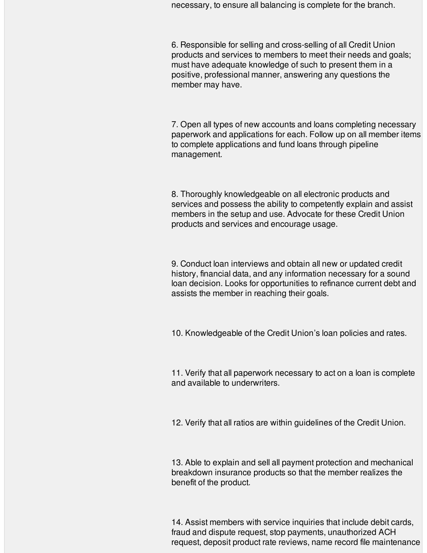necessary, to ensure all balancing is complete for the branch.

6. Responsible for selling and cross-selling of all Credit Union products and services to members to meet their needs and goals; must have adequate knowledge of such to present them in a positive, professional manner, answering any questions the member may have.

7. Open all types of new accounts and loans completing necessary paperwork and applications for each. Follow up on all member items to complete applications and fund loans through pipeline management.

8. Thoroughly knowledgeable on all electronic products and services and possess the ability to competently explain and assist members in the setup and use. Advocate for these Credit Union products and services and encourage usage.

9. Conduct loan interviews and obtain all new or updated credit history, financial data, and any information necessary for a sound loan decision. Looks for opportunities to refinance current debt and assists the member in reaching their goals.

10. Knowledgeable of the Credit Union's loan policies and rates.

11. Verify that all paperwork necessary to act on a loan is complete and available to underwriters.

12. Verify that all ratios are within guidelines of the Credit Union.

13. Able to explain and sell all payment protection and mechanical breakdown insurance products so that the member realizes the benefit of the product.

14. Assist members with service inquiries that include debit cards, fraud and dispute request, stop payments, unauthorized ACH request, deposit product rate reviews, name record file maintenance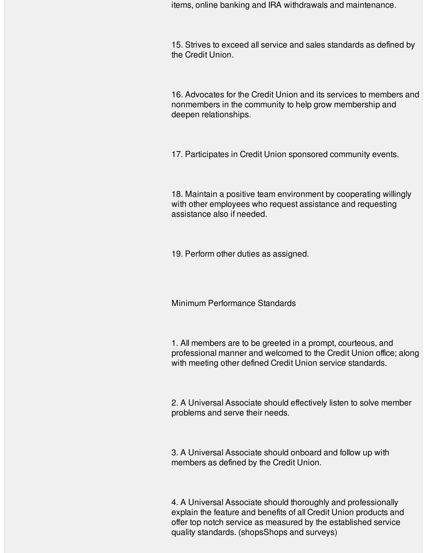items, online banking and IRA withdrawals and maintenance.

15. Strives to exceed all service and sales standards as defined by the Credit Union.

16. Advocates for the Credit Union and its services to members and nonmembers in the community to help grow membership and deepen relationships.

17. Participates in Credit Union sponsored community events.

18. Maintain a positive team environment by cooperating willingly with other employees who request assistance and requesting assistance also if needed.

19. Perform other duties as assigned.

Minimum Performance Standards

1. All members are to be greeted in a prompt, courteous, and professional manner and welcomed to the Credit Union office; along with meeting other defined Credit Union service standards.

2. A Universal Associate should effectively listen to solve member problems and serve their needs.

3. A Universal Associate should onboard and follow up with members as defined by the Credit Union.

4. A Universal Associate should thoroughly and professionally explain the feature and benefits of all Credit Union products and offer top notch service as measured by the established service quality standards. (shopsShops and surveys)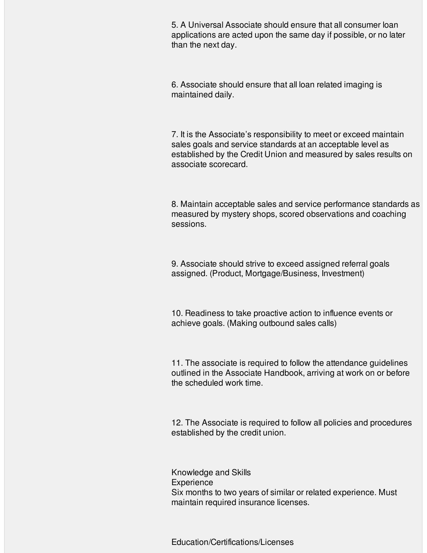5. A Universal Associate should ensure that all consumer loan applications are acted upon the same day if possible, or no later than the next day.

6. Associate should ensure that all loan related imaging is maintained daily.

7. It is the Associate's responsibility to meet or exceed maintain sales goals and service standards at an acceptable level as established by the Credit Union and measured by sales results on associate scorecard.

8. Maintain acceptable sales and service performance standards as measured by mystery shops, scored observations and coaching sessions.

9. Associate should strive to exceed assigned referral goals assigned. (Product, Mortgage/Business, Investment)

10. Readiness to take proactive action to influence events or achieve goals. (Making outbound sales calls)

11. The associate is required to follow the attendance guidelines outlined in the Associate Handbook, arriving at work on or before the scheduled work time.

12. The Associate is required to follow all policies and procedures established by the credit union.

Knowledge and Skills **Experience** Six months to two years of similar or related experience. Must maintain required insurance licenses.

Education/Certifications/Licenses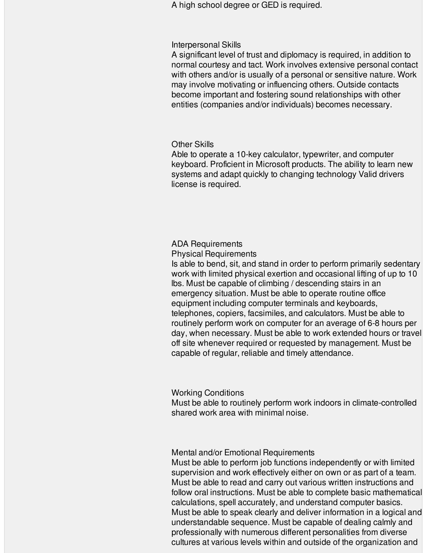A high school degree or GED is required.

### Interpersonal Skills

A significant level of trust and diplomacy is required, in addition to normal courtesy and tact. Work involves extensive personal contact with others and/or is usually of a personal or sensitive nature. Work may involve motivating or influencing others. Outside contacts become important and fostering sound relationships with other entities (companies and/or individuals) becomes necessary.

## Other Skills

Able to operate a 10-key calculator, typewriter, and computer keyboard. Proficient in Microsoft products. The ability to learn new systems and adapt quickly to changing technology Valid drivers license is required.

## ADA Requirements

Physical Requirements

Is able to bend, sit, and stand in order to perform primarily sedentary work with limited physical exertion and occasional lifting of up to 10 lbs. Must be capable of climbing / descending stairs in an emergency situation. Must be able to operate routine office equipment including computer terminals and keyboards, telephones, copiers, facsimiles, and calculators. Must be able to routinely perform work on computer for an average of 6-8 hours per day, when necessary. Must be able to work extended hours or travel off site whenever required or requested by management. Must be capable of regular, reliable and timely attendance.

# Working Conditions

Must be able to routinely perform work indoors in climate-controlled shared work area with minimal noise.

## Mental and/or Emotional Requirements

Must be able to perform job functions independently or with limited supervision and work effectively either on own or as part of a team. Must be able to read and carry out various written instructions and follow oral instructions. Must be able to complete basic mathematical calculations, spell accurately, and understand computer basics. Must be able to speak clearly and deliver information in a logical and understandable sequence. Must be capable of dealing calmly and professionally with numerous different personalities from diverse cultures at various levels within and outside of the organization and